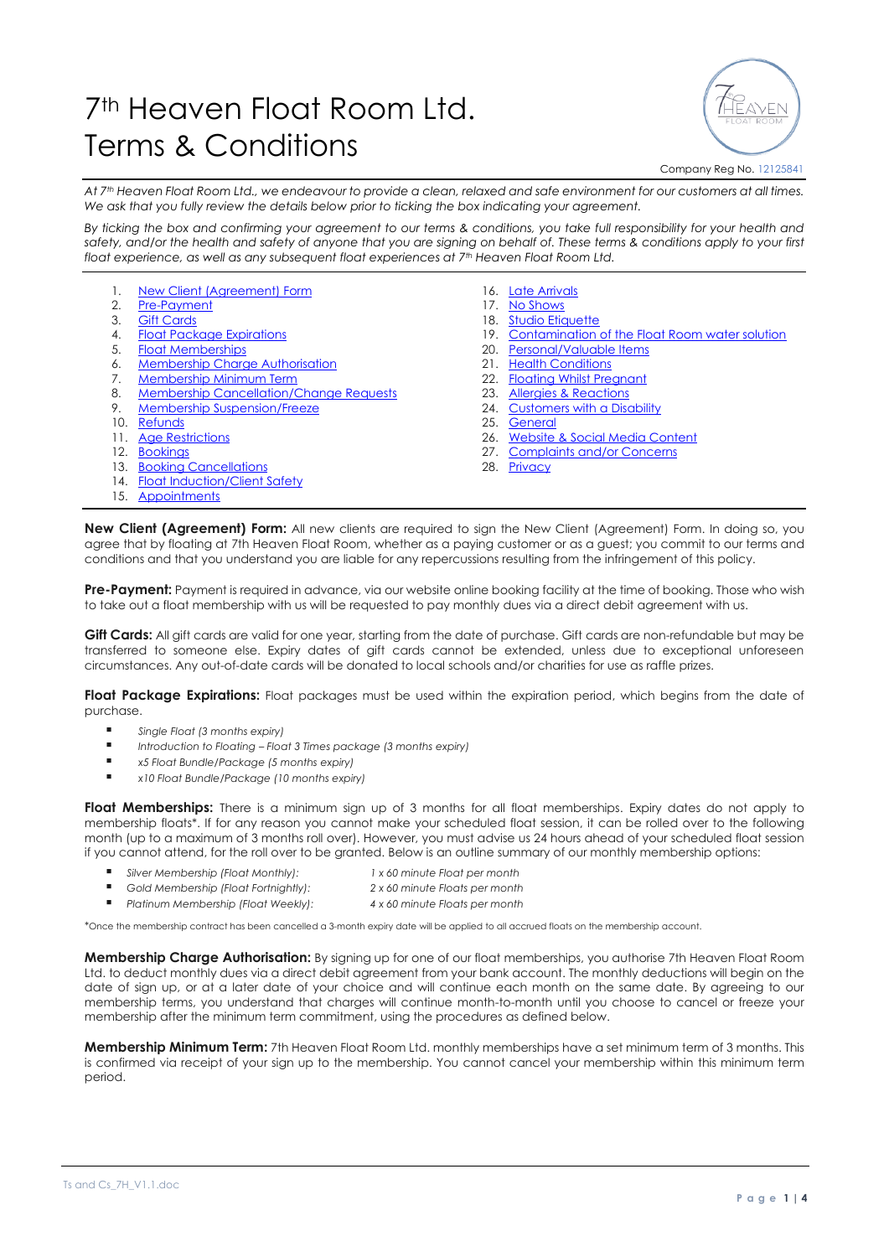## 7<sup>th</sup> Heaven Float Room Ltd. Terms & Conditions



## Company Reg No. 12125841

*At 7th Heaven Float Room Ltd., we endeavour to provide a clean, relaxed and safe environment for our customers at all times. We ask that you fully review the details below prior to ticking the box indicating your agreement.* 

*By ticking the box and confirming your agreement to our terms & conditions, you take full responsibility for your health and safety, and/or the health and safety of anyone that you are signing on behalf of. These terms & conditions apply to your first float experience, as well as any subsequent float experiences at 7th Heaven Float Room Ltd.*

- 1. [New Client \(Agreement\) Form](#page-0-0)
- 2. [Pre-Payment](#page-0-1)
- 3. [Gift Cards](#page-0-2)
- 4. [Float Package Expirations](#page-0-3)
- 5. [Float Memberships](#page-0-4)
- 6. [Membership Charge Authorisation](#page-0-5)
- 7. [Membership Minimum Term](#page-0-6)
- 8. Membership [Cancellation/Change Requests](#page-0-7)
- 9. [Membership Suspension/Freeze](#page-1-0)
- 10. [Refunds](#page-1-1)
- 11. [Age Restrictions](#page-1-2)
- 12. [Bookings](#page-1-3)
- 13. [Booking Cancellations](#page-1-4)
- 14. [Float Induction/Client Safety](#page-1-5)
- 15. [Appointments](#page-1-6)
- 16. [Late Arrivals](#page-1-7) 17. [No Shows](#page-1-8)
- 18. [Studio Etiquette](#page-1-9)
- 19. [Contamination of the Float Room water solution](#page-1-10)
- 20. [Personal/Valuable Items](#page-1-11)
- 21. [Health Conditions](#page-1-12)
- 22. [Floating Whilst Pregnant](#page-2-0)
- 23. [Allergies & Reactions](#page-2-1)
- 24. [Customers with a Disability](#page-2-2)
- 25. [General](#page-2-3)
- 26. [Website & Social Media Content](#page-2-4)
- 27. [Complaints and/or Concerns](#page-2-5)
- 28. [Privacy](#page-1-10)
- <span id="page-0-0"></span>**New Client (Agreement) Form:** All new clients are required to sign the New Client (Agreement) Form. In doing so, you agree that by floating at 7th Heaven Float Room, whether as a paying customer or as a guest; you commit to our terms and conditions and that you understand you are liable for any repercussions resulting from the infringement of this policy.

<span id="page-0-1"></span>**Pre-Payment:** Payment is required in advance, via our website online booking facility at the time of booking. Those who wish to take out a float membership with us will be requested to pay monthly dues via a direct debit agreement with us.

<span id="page-0-2"></span>**Gift Cards:** All gift cards are valid for one year, starting from the date of purchase. Gift cards are non-refundable but may be transferred to someone else. Expiry dates of gift cards cannot be extended, unless due to exceptional unforeseen circumstances. Any out-of-date cards will be donated to local schools and/or charities for use as raffle prizes.

<span id="page-0-3"></span>**Float Package Expirations:** Float packages must be used within the expiration period, which begins from the date of purchase.

- *Single Float (3 months expiry)*<br>■ *Introduction to Floating* Floa
- *Introduction to Floating – Float 3 Times package (3 months expiry)*
- *x5 Float Bundle/Package (5 months expiry)*
- *x10 Float Bundle/Package (10 months expiry)*

<span id="page-0-4"></span>**Float Memberships:** There is a minimum sign up of 3 months for all float memberships. Expiry dates do not apply to membership floats\*. If for any reason you cannot make your scheduled float session, it can be rolled over to the following month (up to a maximum of 3 months roll over). However, you must advise us 24 hours ahead of your scheduled float session if you cannot attend, for the roll over to be granted. Below is an outline summary of our monthly membership options:

- *Silver Membership (Float Monthly):* 1 x 60 minute Float per month
- *Gold Membership (Float Fortnightly): 2 x 60 minute Floats per month*
- *Platinum Membership (Float Weekly): 4 x 60 minute Floats per month*

*\**Once the membership contract has been cancelled a 3-month expiry date will be applied to all accrued floats on the membership account.

<span id="page-0-5"></span>**Membership Charge Authorisation:** By signing up for one of our float memberships, you authorise 7th Heaven Float Room Ltd. to deduct monthly dues via a direct debit agreement from your bank account. The monthly deductions will begin on the date of sign up, or at a later date of your choice and will continue each month on the same date. By agreeing to our membership terms, you understand that charges will continue month-to-month until you choose to cancel or freeze your membership after the minimum term commitment, using the procedures as defined below.

<span id="page-0-7"></span><span id="page-0-6"></span>**Membership Minimum Term:** 7th Heaven Float Room Ltd. monthly memberships have a set minimum term of 3 months. This is confirmed via receipt of your sign up to the membership. You cannot cancel your membership within this minimum term period.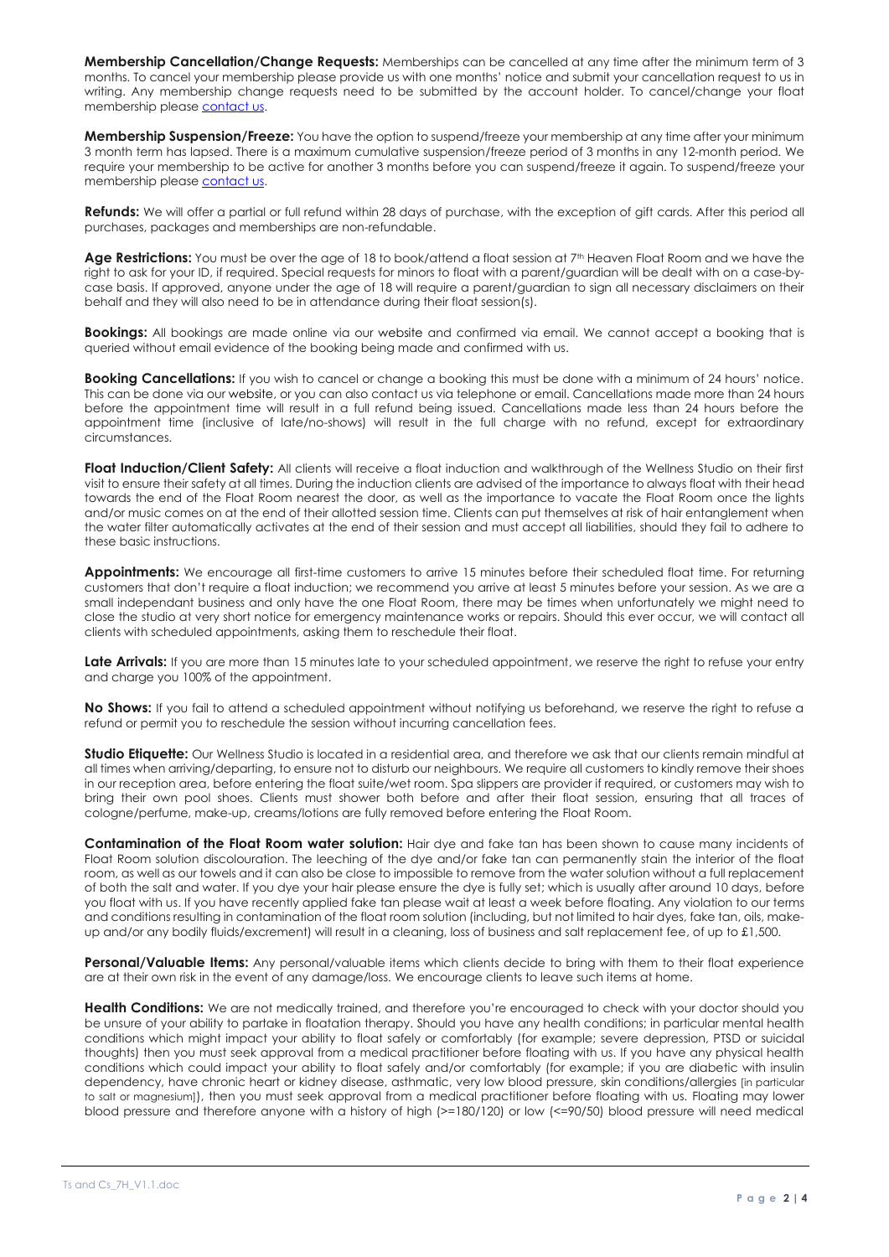**Membership Cancellation/Change Requests:** Memberships can be cancelled at any time after the minimum term of 3 months. To cancel your membership please provide us with one months' notice and submit your cancellation request to us in writing. Any membership change requests need to be submitted by the account holder. To cancel/change your float membership pleas[e contact us.](mailto:7thheavenfloatroom@gmail.com?subject=Request%20to%20cancel/change%20float%20membership)

<span id="page-1-0"></span>**Membership Suspension/Freeze:** You have the option to suspend/freeze your membership at any time after your minimum 3 month term has lapsed. There is a maximum cumulative suspension/freeze period of 3 months in any 12-month period. We require your membership to be active for another 3 months before you can suspend/freeze it again. To suspend/freeze your membership pleas[e contact us.](mailto:7thheavenfloatroom@gmail.com?subject=Request%20to%20suspend/freeze%20my%20Float%20Membership)

<span id="page-1-1"></span>**Refunds:** We will offer a partial or full refund within 28 days of purchase, with the exception of gift cards. After this period all purchases, packages and memberships are non-refundable.

<span id="page-1-2"></span>Age Restrictions: You must be over the age of 18 to book/attend a float session at 7<sup>th</sup> Heaven Float Room and we have the right to ask for your ID, if required. Special requests for minors to float with a parent/guardian will be dealt with on a case-bycase basis. If approved, anyone under the age of 18 will require a parent/guardian to sign all necessary disclaimers on their behalf and they will also need to be in attendance during their float session(s).

<span id="page-1-3"></span>**Bookings:** All bookings are made online via our website and confirmed via email. We cannot accept a booking that is queried without email evidence of the booking being made and confirmed with us.

<span id="page-1-4"></span>**Booking Cancellations:** If you wish to cancel or change a booking this must be done with a minimum of 24 hours' notice. This can be done via our website, or you can also contact us via telephone or email. Cancellations made more than 24 hours before the appointment time will result in a full refund being issued. Cancellations made less than 24 hours before the appointment time (inclusive of late/no-shows) will result in the full charge with no refund, except for extraordinary circumstances.

<span id="page-1-5"></span>**Float Induction/Client Safety:** All clients will receive a float induction and walkthrough of the Wellness Studio on their first visit to ensure their safety at all times. During the induction clients are advised of the importance to always float with their head towards the end of the Float Room nearest the door, as well as the importance to vacate the Float Room once the lights and/or music comes on at the end of their allotted session time. Clients can put themselves at risk of hair entanglement when the water filter automatically activates at the end of their session and must accept all liabilities, should they fail to adhere to these basic instructions.

<span id="page-1-6"></span>**Appointments:** We encourage all first-time customers to arrive 15 minutes before their scheduled float time. For returning customers that don't require a float induction; we recommend you arrive at least 5 minutes before your session. As we are a small independant business and only have the one Float Room, there may be times when unfortunately we might need to close the studio at very short notice for emergency maintenance works or repairs. Should this ever occur, we will contact all clients with scheduled appointments, asking them to reschedule their float.

<span id="page-1-7"></span>Late Arrivals: If you are more than 15 minutes late to your scheduled appointment, we reserve the right to refuse your entry and charge you 100% of the appointment.

<span id="page-1-8"></span>**No Shows:** If you fail to attend a scheduled appointment without notifying us beforehand, we reserve the right to refuse a refund or permit you to reschedule the session without incurring cancellation fees.

<span id="page-1-9"></span>**Studio Etiquette:** Our Wellness Studio is located in a residential area, and therefore we ask that our clients remain mindful at all times when arriving/departing, to ensure not to disturb our neighbours. We require all customers to kindly remove their shoes in our reception area, before entering the float suite/wet room. Spa slippers are provider if required, or customers may wish to bring their own pool shoes. Clients must shower both before and after their float session, ensuring that all traces of cologne/perfume, make-up, creams/lotions are fully removed before entering the Float Room.

<span id="page-1-10"></span>**Contamination of the Float Room water solution:** Hair dye and fake tan has been shown to cause many incidents of Float Room solution discolouration. The leeching of the dye and/or fake tan can permanently stain the interior of the float room, as well as our towels and it can also be close to impossible to remove from the water solution without a full replacement of both the salt and water. If you dye your hair please ensure the dye is fully set; which is usually after around 10 days, before you float with us. If you have recently applied fake tan please wait at least a week before floating. Any violation to our terms and conditions resulting in contamination of the float room solution (including, but not limited to hair dyes, fake tan, oils, makeup and/or any bodily fluids/excrement) will result in a cleaning, loss of business and salt replacement fee, of up to £1,500.

<span id="page-1-11"></span>**Personal/Valuable Items:** Any personal/valuable items which clients decide to bring with them to their float experience are at their own risk in the event of any damage/loss. We encourage clients to leave such items at home.

<span id="page-1-12"></span>**Health Conditions:** We are not medically trained, and therefore you're encouraged to check with your doctor should you be unsure of your ability to partake in floatation therapy. Should you have any health conditions; in particular mental health conditions which might impact your ability to float safely or comfortably (for example; severe depression, PTSD or suicidal thoughts) then you must seek approval from a medical practitioner before floating with us. If you have any physical health conditions which could impact your ability to float safely and/or comfortably (for example; if you are diabetic with insulin dependency, have chronic heart or kidney disease, asthmatic, very low blood pressure, skin conditions/allergies [in particular to salt or magnesium]), then you must seek approval from a medical practitioner before floating with us. Floating may lower blood pressure and therefore anyone with a history of high (>=180/120) or low (<=90/50) blood pressure will need medical